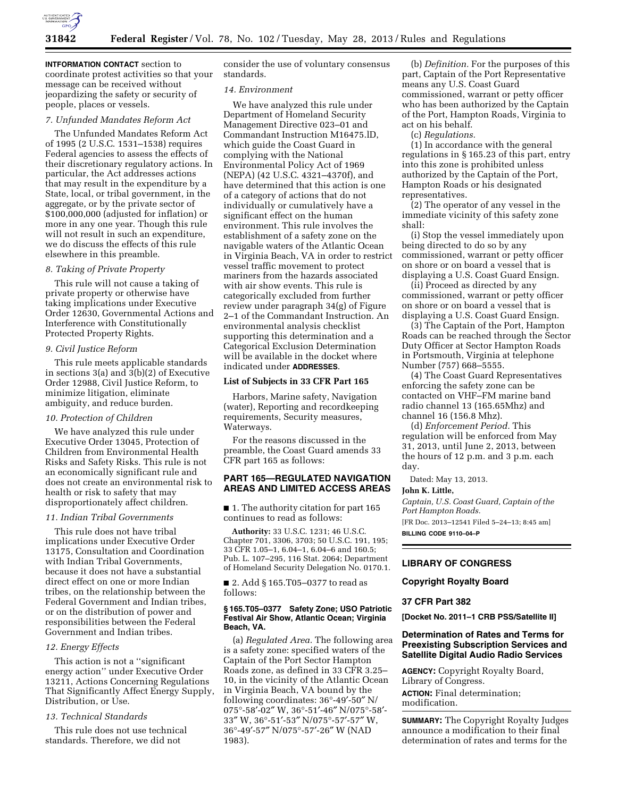

**INTFORMATION CONTACT** section to coordinate protest activities so that your message can be received without jeopardizing the safety or security of people, places or vessels.

## *7. Unfunded Mandates Reform Act*

The Unfunded Mandates Reform Act of 1995 (2 U.S.C. 1531–1538) requires Federal agencies to assess the effects of their discretionary regulatory actions. In particular, the Act addresses actions that may result in the expenditure by a State, local, or tribal government, in the aggregate, or by the private sector of \$100,000,000 (adjusted for inflation) or more in any one year. Though this rule will not result in such an expenditure, we do discuss the effects of this rule elsewhere in this preamble.

### *8. Taking of Private Property*

This rule will not cause a taking of private property or otherwise have taking implications under Executive Order 12630, Governmental Actions and Interference with Constitutionally Protected Property Rights.

### *9. Civil Justice Reform*

This rule meets applicable standards in sections 3(a) and 3(b)(2) of Executive Order 12988, Civil Justice Reform, to minimize litigation, eliminate ambiguity, and reduce burden.

## *10. Protection of Children*

We have analyzed this rule under Executive Order 13045, Protection of Children from Environmental Health Risks and Safety Risks. This rule is not an economically significant rule and does not create an environmental risk to health or risk to safety that may disproportionately affect children.

### *11. Indian Tribal Governments*

This rule does not have tribal implications under Executive Order 13175, Consultation and Coordination with Indian Tribal Governments, because it does not have a substantial direct effect on one or more Indian tribes, on the relationship between the Federal Government and Indian tribes, or on the distribution of power and responsibilities between the Federal Government and Indian tribes.

### *12. Energy Effects*

This action is not a ''significant energy action'' under Executive Order 13211, Actions Concerning Regulations That Significantly Affect Energy Supply, Distribution, or Use.

## *13. Technical Standards*

This rule does not use technical standards. Therefore, we did not

consider the use of voluntary consensus standards.

### *14. Environment*

We have analyzed this rule under Department of Homeland Security Management Directive 023–01 and Commandant Instruction M16475.lD, which guide the Coast Guard in complying with the National Environmental Policy Act of 1969 (NEPA) (42 U.S.C. 4321–4370f), and have determined that this action is one of a category of actions that do not individually or cumulatively have a significant effect on the human environment. This rule involves the establishment of a safety zone on the navigable waters of the Atlantic Ocean in Virginia Beach, VA in order to restrict vessel traffic movement to protect mariners from the hazards associated with air show events. This rule is categorically excluded from further review under paragraph 34(g) of Figure 2–1 of the Commandant Instruction. An environmental analysis checklist supporting this determination and a Categorical Exclusion Determination will be available in the docket where indicated under **ADDRESSES**.

### **List of Subjects in 33 CFR Part 165**

Harbors, Marine safety, Navigation (water), Reporting and recordkeeping requirements, Security measures, Waterways.

For the reasons discussed in the preamble, the Coast Guard amends 33 CFR part 165 as follows:

### **PART 165—REGULATED NAVIGATION AREAS AND LIMITED ACCESS AREAS**

■ 1. The authority citation for part 165 continues to read as follows:

**Authority:** 33 U.S.C. 1231; 46 U.S.C. Chapter 701, 3306, 3703; 50 U.S.C. 191, 195; 33 CFR 1.05–1, 6.04–1, 6.04–6 and 160.5; Pub. L. 107–295, 116 Stat. 2064; Department of Homeland Security Delegation No. 0170.1.

■ 2. Add § 165.T05-0377 to read as follows:

### **§ 165.T05–0377 Safety Zone; USO Patriotic Festival Air Show, Atlantic Ocean; Virginia Beach, VA.**

(a) *Regulated Area.* The following area is a safety zone: specified waters of the Captain of the Port Sector Hampton Roads zone, as defined in 33 CFR 3.25– 10, in the vicinity of the Atlantic Ocean in Virginia Beach, VA bound by the following coordinates: 36°-49′-50″ N/ 075°-58′-02″ W, 36°-51′-46″ N/075°-58′- 33″ W, 36°-51′-53″ N/075°-57′-57″ W, 36°-49′-57″ N/075°-57′-26″ W (NAD 1983).

(b) *Definition.* For the purposes of this part, Captain of the Port Representative means any U.S. Coast Guard commissioned, warrant or petty officer who has been authorized by the Captain of the Port, Hampton Roads, Virginia to act on his behalf.

(c) *Regulations.* 

(1) In accordance with the general regulations in § 165.23 of this part, entry into this zone is prohibited unless authorized by the Captain of the Port, Hampton Roads or his designated representatives.

(2) The operator of any vessel in the immediate vicinity of this safety zone shall:

(i) Stop the vessel immediately upon being directed to do so by any commissioned, warrant or petty officer on shore or on board a vessel that is displaying a U.S. Coast Guard Ensign.

(ii) Proceed as directed by any commissioned, warrant or petty officer on shore or on board a vessel that is displaying a U.S. Coast Guard Ensign.

(3) The Captain of the Port, Hampton Roads can be reached through the Sector Duty Officer at Sector Hampton Roads in Portsmouth, Virginia at telephone Number (757) 668–5555.

(4) The Coast Guard Representatives enforcing the safety zone can be contacted on VHF–FM marine band radio channel 13 (165.65Mhz) and channel 16 (156.8 Mhz).

(d) *Enforcement Period.* This regulation will be enforced from May 31, 2013, until June 2, 2013, between the hours of 12 p.m. and 3 p.m. each day.

Dated: May 13, 2013.

### **John K. Little,**

*Captain, U.S. Coast Guard, Captain of the Port Hampton Roads.*  [FR Doc. 2013–12541 Filed 5–24–13; 8:45 am] **BILLING CODE 9110–04–P** 

# **LIBRARY OF CONGRESS**

### **Copyright Royalty Board**

#### **37 CFR Part 382**

**[Docket No. 2011–1 CRB PSS/Satellite II]** 

## **Determination of Rates and Terms for Preexisting Subscription Services and Satellite Digital Audio Radio Services**

**AGENCY:** Copyright Royalty Board, Library of Congress. **ACTION:** Final determination; modification.

**SUMMARY:** The Copyright Royalty Judges announce a modification to their final determination of rates and terms for the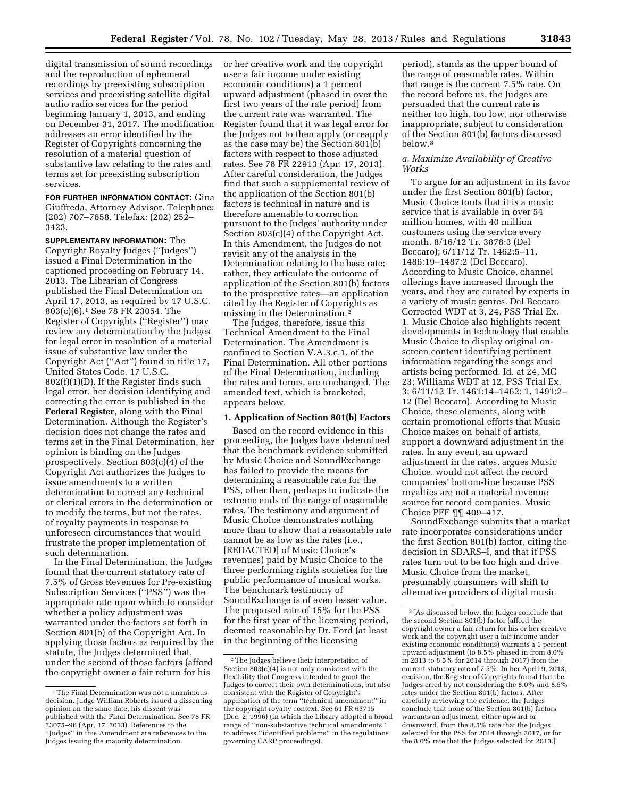digital transmission of sound recordings and the reproduction of ephemeral recordings by preexisting subscription services and preexisting satellite digital audio radio services for the period beginning January 1, 2013, and ending on December 31, 2017. The modification addresses an error identified by the Register of Copyrights concerning the resolution of a material question of substantive law relating to the rates and terms set for preexisting subscription services.

**FOR FURTHER INFORMATION CONTACT: Gina** Giuffreda, Attorney Advisor. Telephone: (202) 707–7658. Telefax: (202) 252– 3423.

**SUPPLEMENTARY INFORMATION:** The Copyright Royalty Judges (''Judges'') issued a Final Determination in the captioned proceeding on February 14, 2013. The Librarian of Congress published the Final Determination on April 17, 2013, as required by 17 U.S.C. 803(c)(6).1 See 78 FR 23054. The Register of Copyrights (''Register'') may review any determination by the Judges for legal error in resolution of a material issue of substantive law under the Copyright Act (''Act'') found in title 17, United States Code. 17 U.S.C. 802(f)(1)(D). If the Register finds such legal error, her decision identifying and correcting the error is published in the **Federal Register**, along with the Final Determination. Although the Register's decision does not change the rates and terms set in the Final Determination, her opinion is binding on the Judges prospectively. Section 803(c)(4) of the Copyright Act authorizes the Judges to issue amendments to a written determination to correct any technical or clerical errors in the determination or to modify the terms, but not the rates, of royalty payments in response to unforeseen circumstances that would frustrate the proper implementation of such determination.

In the Final Determination, the Judges found that the current statutory rate of 7.5% of Gross Revenues for Pre-existing Subscription Services (''PSS'') was the appropriate rate upon which to consider whether a policy adjustment was warranted under the factors set forth in Section 801(b) of the Copyright Act. In applying those factors as required by the statute, the Judges determined that, under the second of those factors (afford the copyright owner a fair return for his

or her creative work and the copyright user a fair income under existing economic conditions) a 1 percent upward adjustment (phased in over the first two years of the rate period) from the current rate was warranted. The Register found that it was legal error for the Judges not to then apply (or reapply as the case may be) the Section 801(b) factors with respect to those adjusted rates. See 78 FR 22913 (Apr. 17, 2013). After careful consideration, the Judges find that such a supplemental review of the application of the Section 801(b) factors is technical in nature and is therefore amenable to correction pursuant to the Judges' authority under Section 803(c)(4) of the Copyright Act. In this Amendment, the Judges do not revisit any of the analysis in the Determination relating to the base rate; rather, they articulate the outcome of application of the Section 801(b) factors to the prospective rates—an application cited by the Register of Copyrights as missing in the Determination.2

The Judges, therefore, issue this Technical Amendment to the Final Determination. The Amendment is confined to Section V.A.3.c.1. of the Final Determination. All other portions of the Final Determination, including the rates and terms, are unchanged. The amended text, which is bracketed, appears below.

### **1. Application of Section 801(b) Factors**

Based on the record evidence in this proceeding, the Judges have determined that the benchmark evidence submitted by Music Choice and SoundExchange has failed to provide the means for determining a reasonable rate for the PSS, other than, perhaps to indicate the extreme ends of the range of reasonable rates. The testimony and argument of Music Choice demonstrates nothing more than to show that a reasonable rate cannot be as low as the rates (i.e., [REDACTED] of Music Choice's revenues) paid by Music Choice to the three performing rights societies for the public performance of musical works. The benchmark testimony of SoundExchange is of even lesser value. The proposed rate of 15% for the PSS for the first year of the licensing period, deemed reasonable by Dr. Ford (at least in the beginning of the licensing

period), stands as the upper bound of the range of reasonable rates. Within that range is the current 7.5% rate. On the record before us, the Judges are persuaded that the current rate is neither too high, too low, nor otherwise inappropriate, subject to consideration of the Section 801(b) factors discussed below.3

## *a. Maximize Availability of Creative Works*

To argue for an adjustment in its favor under the first Section 801(b) factor, Music Choice touts that it is a music service that is available in over 54 million homes, with 40 million customers using the service every month. 8/16/12 Tr. 3878:3 (Del Beccaro); 6/11/12 Tr. 1462:5–11, 1486:19–1487:2 (Del Beccaro). According to Music Choice, channel offerings have increased through the years, and they are curated by experts in a variety of music genres. Del Beccaro Corrected WDT at 3, 24, PSS Trial Ex. 1. Music Choice also highlights recent developments in technology that enable Music Choice to display original onscreen content identifying pertinent information regarding the songs and artists being performed. Id. at 24, MC 23; Williams WDT at 12, PSS Trial Ex. 3; 6/11/12 Tr. 1461:14–1462: 1, 1491:2– 12 (Del Beccaro). According to Music Choice, these elements, along with certain promotional efforts that Music Choice makes on behalf of artists, support a downward adjustment in the rates. In any event, an upward adjustment in the rates, argues Music Choice, would not affect the record companies' bottom-line because PSS royalties are not a material revenue source for record companies. Music Choice PFF ¶¶ 409–417.

SoundExchange submits that a market rate incorporates considerations under the first Section 801(b) factor, citing the decision in SDARS–I, and that if PSS rates turn out to be too high and drive Music Choice from the market, presumably consumers will shift to alternative providers of digital music

<sup>1</sup>The Final Determination was not a unanimous decision. Judge William Roberts issued a dissenting opinion on the same date; his dissent was published with the Final Determination. See 78 FR 23075–96 (Apr. 17. 2013). References to the ''Judges'' in this Amendment are references to the Judges issuing the majority determination.

<sup>2</sup>The Judges believe their interpretation of Section 803(c)(4) is not only consistent with the flexibility that Congress intended to grant the Judges to correct their own determinations, but also consistent with the Register of Copyright's application of the term ''technical amendment'' in the copyright royalty context. See 61 FR 63715 (Dec. 2, 1996) (in which the Library adopted a broad range of ''non-substantive technical amendments'' to address ''identified problems'' in the regulations governing CARP proceedings).

<sup>3</sup> [As discussed below, the Judges conclude that the second Section 801(b) factor (afford the copyright owner a fair return for his or her creative work and the copyright user a fair income under existing economic conditions) warrants a 1 percent upward adjustment (to 8.5% phased in from 8.0% in 2013 to 8.5% for 2014 through 2017) from the current statutory rate of 7.5%. In her April 9, 2013, decision, the Register of Copyrights found that the Judges erred by not considering the 8.0% and 8.5% rates under the Section 801(b) factors. After carefully reviewing the evidence, the Judges conclude that none of the Section 801(b) factors warrants an adjustment, either upward or downward, from the 8.5% rate that the Judges selected for the PSS for 2014 through 2017, or for the 8.0% rate that the Judges selected for 2013.]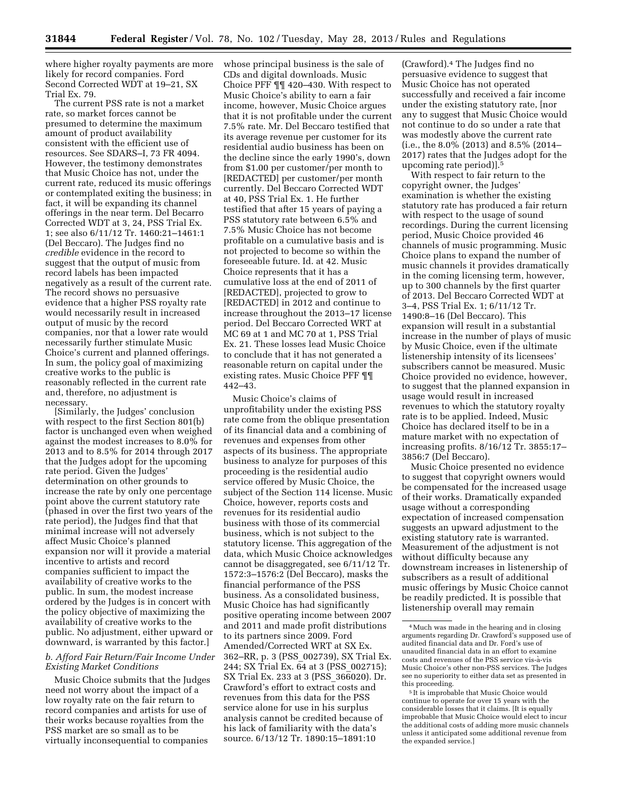where higher royalty payments are more likely for record companies. Ford Second Corrected WDT at 19–21, SX Trial Ex. 79.

The current PSS rate is not a market rate, so market forces cannot be presumed to determine the maximum amount of product availability consistent with the efficient use of resources. See SDARS–I, 73 FR 4094. However, the testimony demonstrates that Music Choice has not, under the current rate, reduced its music offerings or contemplated exiting the business; in fact, it will be expanding its channel offerings in the near term. Del Becarro Corrected WDT at 3, 24, PSS Trial Ex. 1; see also 6/11/12 Tr. 1460:21–1461:1 (Del Beccaro). The Judges find no *credible* evidence in the record to suggest that the output of music from record labels has been impacted negatively as a result of the current rate. The record shows no persuasive evidence that a higher PSS royalty rate would necessarily result in increased output of music by the record companies, nor that a lower rate would necessarily further stimulate Music Choice's current and planned offerings. In sum, the policy goal of maximizing creative works to the public is reasonably reflected in the current rate and, therefore, no adjustment is necessary.

[Similarly, the Judges' conclusion with respect to the first Section 801(b) factor is unchanged even when weighed against the modest increases to 8.0% for 2013 and to 8.5% for 2014 through 2017 that the Judges adopt for the upcoming rate period. Given the Judges' determination on other grounds to increase the rate by only one percentage point above the current statutory rate (phased in over the first two years of the rate period), the Judges find that that minimal increase will not adversely affect Music Choice's planned expansion nor will it provide a material incentive to artists and record companies sufficient to impact the availability of creative works to the public. In sum, the modest increase ordered by the Judges is in concert with the policy objective of maximizing the availability of creative works to the public. No adjustment, either upward or downward, is warranted by this factor.]

## *b. Afford Fair Return/Fair Income Under Existing Market Conditions*

Music Choice submits that the Judges need not worry about the impact of a low royalty rate on the fair return to record companies and artists for use of their works because royalties from the PSS market are so small as to be virtually inconsequential to companies

whose principal business is the sale of CDs and digital downloads. Music Choice PFF ¶¶ 420–430. With respect to Music Choice's ability to earn a fair income, however, Music Choice argues that it is not profitable under the current 7.5% rate. Mr. Del Beccaro testified that its average revenue per customer for its residential audio business has been on the decline since the early 1990's, down from \$1.00 per customer/per month to [REDACTED] per customer/per month currently. Del Beccaro Corrected WDT at 40, PSS Trial Ex. 1. He further testified that after 15 years of paying a PSS statutory rate between 6.5% and 7.5% Music Choice has not become profitable on a cumulative basis and is not projected to become so within the foreseeable future. Id. at 42. Music Choice represents that it has a cumulative loss at the end of 2011 of [REDACTED], projected to grow to [REDACTED] in 2012 and continue to increase throughout the 2013–17 license period. Del Beccaro Corrected WRT at MC 69 at 1 and MC 70 at 1, PSS Trial Ex. 21. These losses lead Music Choice to conclude that it has not generated a reasonable return on capital under the existing rates. Music Choice PFF ¶¶ 442–43.

Music Choice's claims of unprofitability under the existing PSS rate come from the oblique presentation of its financial data and a combining of revenues and expenses from other aspects of its business. The appropriate business to analyze for purposes of this proceeding is the residential audio service offered by Music Choice, the subject of the Section 114 license. Music Choice, however, reports costs and revenues for its residential audio business with those of its commercial business, which is not subject to the statutory license. This aggregation of the data, which Music Choice acknowledges cannot be disaggregated, see 6/11/12 Tr. 1572:3–1576:2 (Del Beccaro), masks the financial performance of the PSS business. As a consolidated business, Music Choice has had significantly positive operating income between 2007 and 2011 and made profit distributions to its partners since 2009. Ford Amended/Corrected WRT at SX Ex. 362–RR, p. 3 (PSS\_002739), SX Trial Ex. 244; SX Trial Ex. 64 at 3 (PSS\_002715); SX Trial Ex. 233 at 3 (PSS\_366020). Dr. Crawford's effort to extract costs and revenues from this data for the PSS service alone for use in his surplus analysis cannot be credited because of his lack of familiarity with the data's source. 6/13/12 Tr. 1890:15–1891:10

(Crawford).4 The Judges find no persuasive evidence to suggest that Music Choice has not operated successfully and received a fair income under the existing statutory rate, [nor any to suggest that Music Choice would not continue to do so under a rate that was modestly above the current rate (i.e., the 8.0% (2013) and 8.5% (2014– 2017) rates that the Judges adopt for the upcoming rate period)].5

With respect to fair return to the copyright owner, the Judges' examination is whether the existing statutory rate has produced a fair return with respect to the usage of sound recordings. During the current licensing period, Music Choice provided 46 channels of music programming. Music Choice plans to expand the number of music channels it provides dramatically in the coming licensing term, however, up to 300 channels by the first quarter of 2013. Del Beccaro Corrected WDT at 3–4, PSS Trial Ex. 1; 6/11/12 Tr. 1490:8–16 (Del Beccaro). This expansion will result in a substantial increase in the number of plays of music by Music Choice, even if the ultimate listenership intensity of its licensees' subscribers cannot be measured. Music Choice provided no evidence, however, to suggest that the planned expansion in usage would result in increased revenues to which the statutory royalty rate is to be applied. Indeed, Music Choice has declared itself to be in a mature market with no expectation of increasing profits. 8/16/12 Tr. 3855:17– 3856:7 (Del Beccaro).

Music Choice presented no evidence to suggest that copyright owners would be compensated for the increased usage of their works. Dramatically expanded usage without a corresponding expectation of increased compensation suggests an upward adjustment to the existing statutory rate is warranted. Measurement of the adjustment is not without difficulty because any downstream increases in listenership of subscribers as a result of additional music offerings by Music Choice cannot be readily predicted. It is possible that listenership overall may remain

<sup>4</sup>Much was made in the hearing and in closing arguments regarding Dr. Crawford's supposed use of audited financial data and Dr. Ford's use of unaudited financial data in an effort to examine costs and revenues of the PSS service vis-a`-vis Music Choice's other non-PSS services. The Judges see no superiority to either data set as presented in this proceeding.

<sup>5</sup> It is improbable that Music Choice would continue to operate for over 15 years with the considerable losses that it claims. [It is equally improbable that Music Choice would elect to incur the additional costs of adding more music channels unless it anticipated some additional revenue from the expanded service.]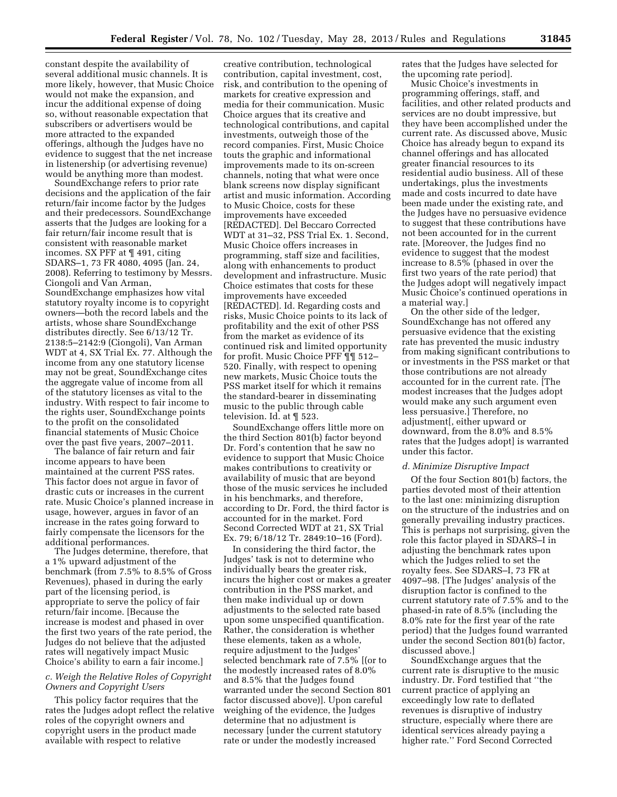constant despite the availability of several additional music channels. It is more likely, however, that Music Choice would not make the expansion, and incur the additional expense of doing so, without reasonable expectation that subscribers or advertisers would be more attracted to the expanded offerings, although the Judges have no evidence to suggest that the net increase in listenership (or advertising revenue) would be anything more than modest.

SoundExchange refers to prior rate decisions and the application of the fair return/fair income factor by the Judges and their predecessors. SoundExchange asserts that the Judges are looking for a fair return/fair income result that is consistent with reasonable market incomes. SX PFF at ¶ 491, citing SDARS–1, 73 FR 4080, 4095 (Jan. 24, 2008). Referring to testimony by Messrs. Ciongoli and Van Arman, SoundExchange emphasizes how vital statutory royalty income is to copyright owners—both the record labels and the artists, whose share SoundExchange distributes directly. See 6/13/12 Tr. 2138:5–2142:9 (Ciongoli), Van Arman WDT at 4, SX Trial Ex. 77. Although the income from any one statutory license may not be great, SoundExchange cites the aggregate value of income from all of the statutory licenses as vital to the industry. With respect to fair income to the rights user, SoundExchange points to the profit on the consolidated financial statements of Music Choice over the past five years, 2007–2011.

The balance of fair return and fair income appears to have been maintained at the current PSS rates. This factor does not argue in favor of drastic cuts or increases in the current rate. Music Choice's planned increase in usage, however, argues in favor of an increase in the rates going forward to fairly compensate the licensors for the additional performances.

The Judges determine, therefore, that a 1% upward adjustment of the benchmark (from 7.5% to 8.5% of Gross Revenues), phased in during the early part of the licensing period, is appropriate to serve the policy of fair return/fair income. [Because the increase is modest and phased in over the first two years of the rate period, the Judges do not believe that the adjusted rates will negatively impact Music Choice's ability to earn a fair income.]

## *c. Weigh the Relative Roles of Copyright Owners and Copyright Users*

This policy factor requires that the rates the Judges adopt reflect the relative roles of the copyright owners and copyright users in the product made available with respect to relative

creative contribution, technological contribution, capital investment, cost, risk, and contribution to the opening of markets for creative expression and media for their communication. Music Choice argues that its creative and technological contributions, and capital investments, outweigh those of the record companies. First, Music Choice touts the graphic and informational improvements made to its on-screen channels, noting that what were once blank screens now display significant artist and music information. According to Music Choice, costs for these improvements have exceeded [REDACTED]. Del Beccaro Corrected WDT at 31–32, PSS Trial Ex. 1. Second, Music Choice offers increases in programming, staff size and facilities, along with enhancements to product development and infrastructure. Music Choice estimates that costs for these improvements have exceeded [REDACTED]. Id. Regarding costs and risks, Music Choice points to its lack of profitability and the exit of other PSS from the market as evidence of its continued risk and limited opportunity for profit. Music Choice PFF ¶¶ 512– 520. Finally, with respect to opening new markets, Music Choice touts the PSS market itself for which it remains the standard-bearer in disseminating music to the public through cable television. Id. at ¶ 523.

SoundExchange offers little more on the third Section 801(b) factor beyond Dr. Ford's contention that he saw no evidence to support that Music Choice makes contributions to creativity or availability of music that are beyond those of the music services he included in his benchmarks, and therefore, according to Dr. Ford, the third factor is accounted for in the market. Ford Second Corrected WDT at 21, SX Trial Ex. 79; 6/18/12 Tr. 2849:10–16 (Ford).

In considering the third factor, the Judges' task is not to determine who individually bears the greater risk, incurs the higher cost or makes a greater contribution in the PSS market, and then make individual up or down adjustments to the selected rate based upon some unspecified quantification. Rather, the consideration is whether these elements, taken as a whole, require adjustment to the Judges' selected benchmark rate of 7.5% [(or to the modestly increased rates of 8.0% and 8.5% that the Judges found warranted under the second Section 801 factor discussed above)]. Upon careful weighing of the evidence, the Judges determine that no adjustment is necessary [under the current statutory rate or under the modestly increased

rates that the Judges have selected for the upcoming rate period].

Music Choice's investments in programming offerings, staff, and facilities, and other related products and services are no doubt impressive, but they have been accomplished under the current rate. As discussed above, Music Choice has already begun to expand its channel offerings and has allocated greater financial resources to its residential audio business. All of these undertakings, plus the investments made and costs incurred to date have been made under the existing rate, and the Judges have no persuasive evidence to suggest that these contributions have not been accounted for in the current rate. [Moreover, the Judges find no evidence to suggest that the modest increase to 8.5% (phased in over the first two years of the rate period) that the Judges adopt will negatively impact Music Choice's continued operations in a material way.]

On the other side of the ledger, SoundExchange has not offered any persuasive evidence that the existing rate has prevented the music industry from making significant contributions to or investments in the PSS market or that those contributions are not already accounted for in the current rate. [The modest increases that the Judges adopt would make any such argument even less persuasive.] Therefore, no adjustment[, either upward or downward, from the 8.0% and 8.5% rates that the Judges adopt] is warranted under this factor.

#### *d. Minimize Disruptive Impact*

Of the four Section 801(b) factors, the parties devoted most of their attention to the last one: minimizing disruption on the structure of the industries and on generally prevailing industry practices. This is perhaps not surprising, given the role this factor played in SDARS–I in adjusting the benchmark rates upon which the Judges relied to set the royalty fees. See SDARS–I, 73 FR at 4097–98. [The Judges' analysis of the disruption factor is confined to the current statutory rate of 7.5% and to the phased-in rate of 8.5% (including the 8.0% rate for the first year of the rate period) that the Judges found warranted under the second Section 801(b) factor, discussed above.]

SoundExchange argues that the current rate is disruptive to the music industry. Dr. Ford testified that ''the current practice of applying an exceedingly low rate to deflated revenues is disruptive of industry structure, especially where there are identical services already paying a higher rate.'' Ford Second Corrected